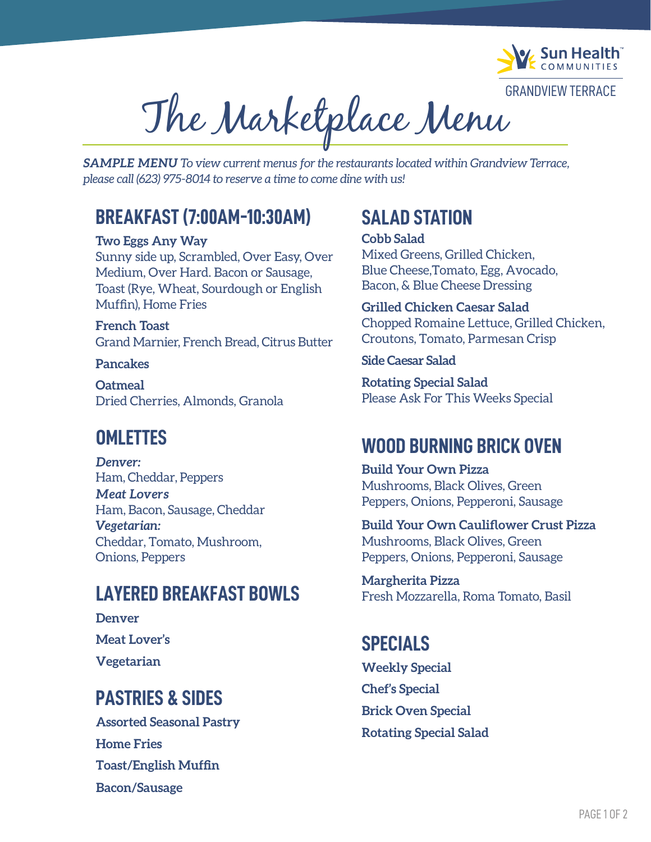

GRANDVIEW TERRACE

The Marketplace Menu

*SAMPLE MENU To view current menus for the restaurants located within Grandview Terrace, please call (623) 975-8014 to reserve a time to come dine with us!*

### **BREAKFAST (7:00AM-10:30AM)**

#### **Two Eggs Any Way**

Sunny side up, Scrambled, Over Easy, Over Medium, Over Hard. Bacon or Sausage, Toast (Rye, Wheat, Sourdough or English Muffin), Home Fries

**French Toast** Grand Marnier, French Bread, Citrus Butter

#### **Pancakes**

**Oatmeal** Dried Cherries, Almonds, Granola

### **OMLETTES**

*Denver:*  Ham, Cheddar, Peppers *Meat Lovers* Ham, Bacon, Sausage, Cheddar *Vegetarian:* Cheddar, Tomato, Mushroom, Onions, Peppers

### **LAYERED BREAKFAST BOWLS**

**Denver Meat Lover's Vegetarian**

# **PASTRIES & SIDES**

**Home Fries Toast/English Muffin Bacon/Sausage Assorted Seasonal Pastry**

## **SALAD STATION**

#### **Cobb Salad**

Mixed Greens, Grilled Chicken, Blue Cheese,Tomato, Egg, Avocado, Bacon, & Blue Cheese Dressing

**Grilled Chicken Caesar Salad** Chopped Romaine Lettuce, Grilled Chicken, Croutons, Tomato, Parmesan Crisp

#### **Side Caesar Salad**

**Rotating Special Salad** Please Ask For This Weeks Special

### **WOOD BURNING BRICK OVEN**

**Build Your Own Pizza**  Mushrooms, Black Olives, Green Peppers, Onions, Pepperoni, Sausage

**Build Your Own Cauliflower Crust Pizza**  Mushrooms, Black Olives, Green Peppers, Onions, Pepperoni, Sausage

**Margherita Pizza** Fresh Mozzarella, Roma Tomato, Basil

### **SPECIALS**

**Weekly Special Chef's Special Brick Oven Special Rotating Special Salad**